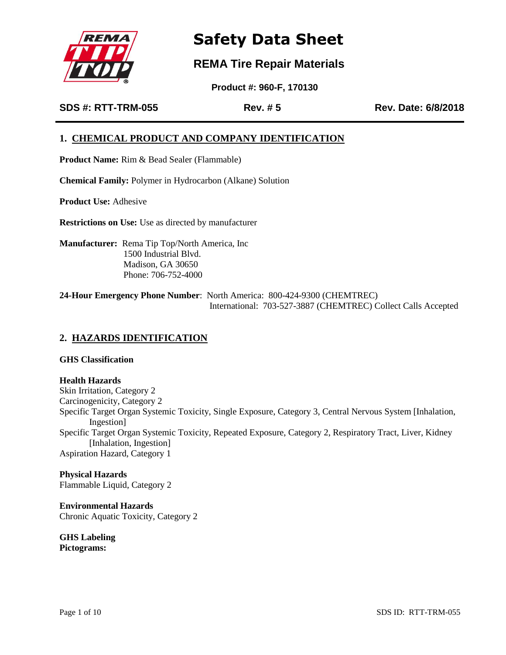

### **REMA Tire Repair Materials**

 **Product #: 960-F, 170130**

**SDS #: RTT-TRM-055 Rev. # 5 Rev. Date: 6/8/2018**

### **1. CHEMICAL PRODUCT AND COMPANY IDENTIFICATION**

**Product Name:** Rim & Bead Sealer (Flammable)

**Chemical Family:** Polymer in Hydrocarbon (Alkane) Solution

**Product Use:** Adhesive

**Restrictions on Use:** Use as directed by manufacturer

**Manufacturer:** Rema Tip Top/North America, Inc 1500 Industrial Blvd. Madison, GA 30650 Phone: 706-752-4000

**24-Hour Emergency Phone Number**: North America: 800-424-9300 (CHEMTREC) International: 703-527-3887 (CHEMTREC) Collect Calls Accepted

### **2. HAZARDS IDENTIFICATION**

**GHS Classification**

**Health Hazards** Skin Irritation, Category 2 Carcinogenicity, Category 2 Specific Target Organ Systemic Toxicity, Single Exposure, Category 3, Central Nervous System [Inhalation, Ingestion] Specific Target Organ Systemic Toxicity, Repeated Exposure, Category 2, Respiratory Tract, Liver, Kidney [Inhalation, Ingestion] Aspiration Hazard, Category 1

**Physical Hazards** Flammable Liquid, Category 2

**Environmental Hazards** Chronic Aquatic Toxicity, Category 2

**GHS Labeling Pictograms:**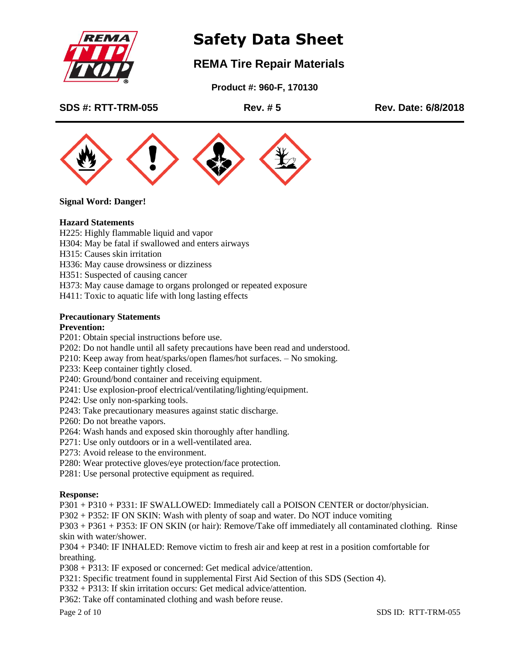

## **REMA Tire Repair Materials**

 **Product #: 960-F, 170130**

**SDS #: RTT-TRM-055 Rev. # 5 Rev. Date: 6/8/2018**



**Signal Word: Danger!**

### **Hazard Statements**

H225: Highly flammable liquid and vapor

- H304: May be fatal if swallowed and enters airways
- H315: Causes skin irritation
- H336: May cause drowsiness or dizziness

H351: Suspected of causing cancer

H373: May cause damage to organs prolonged or repeated exposure

H411: Toxic to aquatic life with long lasting effects

### **Precautionary Statements**

### **Prevention:**

P201: Obtain special instructions before use.

- P202: Do not handle until all safety precautions have been read and understood.
- P210: Keep away from heat/sparks/open flames/hot surfaces. No smoking.
- P233: Keep container tightly closed.
- P240: Ground/bond container and receiving equipment.
- P241: Use explosion-proof electrical/ventilating/lighting/equipment.
- P242: Use only non-sparking tools.
- P243: Take precautionary measures against static discharge.
- P260: Do not breathe vapors.
- P264: Wash hands and exposed skin thoroughly after handling.
- P271: Use only outdoors or in a well-ventilated area.
- P273: Avoid release to the environment.
- P280: Wear protective gloves/eye protection/face protection.
- P281: Use personal protective equipment as required.

### **Response:**

P301 + P310 + P331: IF SWALLOWED: Immediately call a POISON CENTER or doctor/physician.

P302 + P352: IF ON SKIN: Wash with plenty of soap and water. Do NOT induce vomiting

P303 + P361 + P353: IF ON SKIN (or hair): Remove/Take off immediately all contaminated clothing. Rinse skin with water/shower.

P304 + P340: IF INHALED: Remove victim to fresh air and keep at rest in a position comfortable for breathing.

P308 + P313: IF exposed or concerned: Get medical advice/attention.

P321: Specific treatment found in supplemental First Aid Section of this SDS (Section 4).

P332 + P313: If skin irritation occurs: Get medical advice/attention.

P362: Take off contaminated clothing and wash before reuse.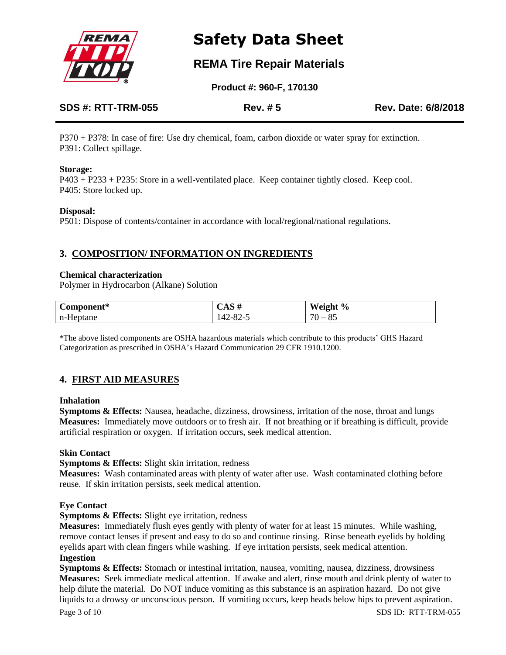

### **REMA Tire Repair Materials**

 **Product #: 960-F, 170130**

| <b>SDS #: RTT-TRM-055</b> | <b>Rev. #5</b> | Rev. Date: 6/8/2018 |
|---------------------------|----------------|---------------------|
|                           |                |                     |

P370 + P378: In case of fire: Use dry chemical, foam, carbon dioxide or water spray for extinction. P391: Collect spillage.

### **Storage:**

P403 + P233 + P235: Store in a well-ventilated place. Keep container tightly closed. Keep cool. P405: Store locked up.

### **Disposal:**

P501: Dispose of contents/container in accordance with local/regional/national regulations.

### **3. COMPOSITION/ INFORMATION ON INGREDIENTS**

### **Chemical characterization**

Polymer in Hydrocarbon (Alkane) Solution

| ∼<br>$Component*$ | $\epsilon$ $\Delta \beta$ $\pi$ | Weight<br>$\frac{0}{0}$<br>стян                      |
|-------------------|---------------------------------|------------------------------------------------------|
| n-Heptane         | $42-$<br>റി<br>ت−0∠∵            | $\neg$<br>OE<br>$\overline{\phantom{a}}$<br>റ്യ<br>◡ |

\*The above listed components are OSHA hazardous materials which contribute to this products' GHS Hazard Categorization as prescribed in OSHA's Hazard Communication 29 CFR 1910.1200.

### **4. FIRST AID MEASURES**

### **Inhalation**

**Symptoms & Effects:** Nausea, headache, dizziness, drowsiness, irritation of the nose, throat and lungs **Measures:** Immediately move outdoors or to fresh air. If not breathing or if breathing is difficult, provide artificial respiration or oxygen. If irritation occurs, seek medical attention.

### **Skin Contact**

### **Symptoms & Effects:** Slight skin irritation, redness

**Measures:** Wash contaminated areas with plenty of water after use. Wash contaminated clothing before reuse. If skin irritation persists, seek medical attention.

### **Eye Contact**

**Symptoms & Effects:** Slight eye irritation, redness

**Measures:** Immediately flush eyes gently with plenty of water for at least 15 minutes. While washing, remove contact lenses if present and easy to do so and continue rinsing. Rinse beneath eyelids by holding eyelids apart with clean fingers while washing. If eye irritation persists, seek medical attention. **Ingestion** 

**Symptoms & Effects:** Stomach or intestinal irritation, nausea, vomiting, nausea, dizziness, drowsiness **Measures:** Seek immediate medical attention. If awake and alert, rinse mouth and drink plenty of water to help dilute the material. Do NOT induce vomiting as this substance is an aspiration hazard. Do not give liquids to a drowsy or unconscious person. If vomiting occurs, keep heads below hips to prevent aspiration.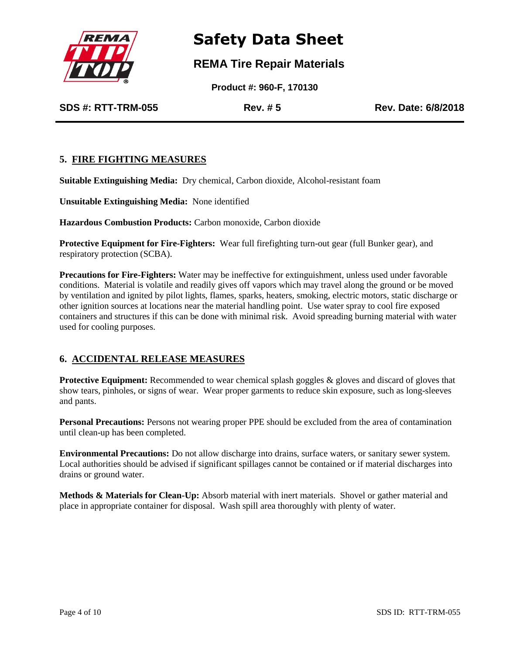

### **REMA Tire Repair Materials**

 **Product #: 960-F, 170130**

**SDS #: RTT-TRM-055 Rev. # 5 Rev. Date: 6/8/2018**

### **5. FIRE FIGHTING MEASURES**

**Suitable Extinguishing Media:** Dry chemical, Carbon dioxide, Alcohol-resistant foam

**Unsuitable Extinguishing Media:** None identified

**Hazardous Combustion Products:** Carbon monoxide, Carbon dioxide

**Protective Equipment for Fire-Fighters:** Wear full firefighting turn-out gear (full Bunker gear), and respiratory protection (SCBA).

**Precautions for Fire-Fighters:** Water may be ineffective for extinguishment, unless used under favorable conditions. Material is volatile and readily gives off vapors which may travel along the ground or be moved by ventilation and ignited by pilot lights, flames, sparks, heaters, smoking, electric motors, static discharge or other ignition sources at locations near the material handling point. Use water spray to cool fire exposed containers and structures if this can be done with minimal risk. Avoid spreading burning material with water used for cooling purposes.

### **6. ACCIDENTAL RELEASE MEASURES**

**Protective Equipment:** Recommended to wear chemical splash goggles & gloves and discard of gloves that show tears, pinholes, or signs of wear. Wear proper garments to reduce skin exposure, such as long-sleeves and pants.

**Personal Precautions:** Persons not wearing proper PPE should be excluded from the area of contamination until clean-up has been completed.

**Environmental Precautions:** Do not allow discharge into drains, surface waters, or sanitary sewer system. Local authorities should be advised if significant spillages cannot be contained or if material discharges into drains or ground water.

**Methods & Materials for Clean-Up:** Absorb material with inert materials. Shovel or gather material and place in appropriate container for disposal. Wash spill area thoroughly with plenty of water.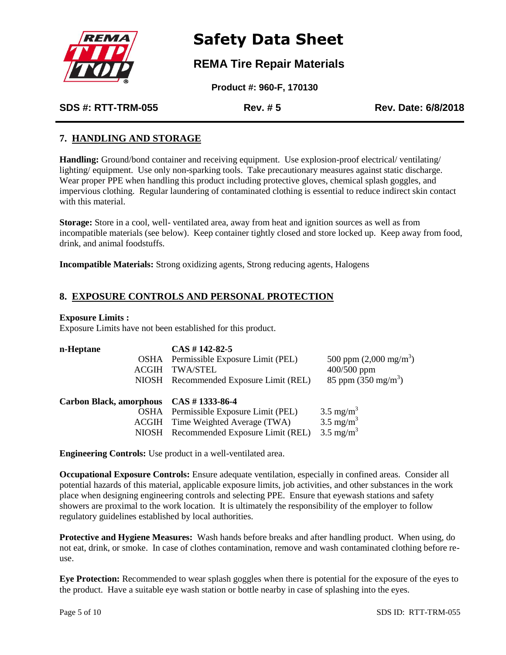

### **REMA Tire Repair Materials**

 **Product #: 960-F, 170130**

**SDS #: RTT-TRM-055 Rev. # 5 Rev. Date: 6/8/2018**

### **7. HANDLING AND STORAGE**

**Handling:** Ground/bond container and receiving equipment. Use explosion-proof electrical/ ventilating/ lighting/ equipment. Use only non-sparking tools. Take precautionary measures against static discharge. Wear proper PPE when handling this product including protective gloves, chemical splash goggles, and impervious clothing. Regular laundering of contaminated clothing is essential to reduce indirect skin contact with this material.

**Storage:** Store in a cool, well- ventilated area, away from heat and ignition sources as well as from incompatible materials (see below). Keep container tightly closed and store locked up. Keep away from food, drink, and animal foodstuffs.

**Incompatible Materials:** Strong oxidizing agents, Strong reducing agents, Halogens

### **8. EXPOSURE CONTROLS AND PERSONAL PROTECTION**

### **Exposure Limits :**

Exposure Limits have not been established for this product.

| n-Heptane                              | $CAS # 142-82-5$                       |                                  |
|----------------------------------------|----------------------------------------|----------------------------------|
| OSHA                                   | Permissible Exposure Limit (PEL)       | 500 ppm $(2,000 \text{ mg/m}^3)$ |
| <b>ACGIH</b>                           | <b>TWA/STEL</b>                        | $400/500$ ppm                    |
|                                        | NIOSH Recommended Exposure Limit (REL) | 85 ppm $(350 \text{ mg/m}^3)$    |
|                                        |                                        |                                  |
| Carbon Black, amorphous CAS #1333-86-4 |                                        |                                  |
|                                        | OSHA Permissible Exposure Limit (PEL)  | $3.5 \text{ mg/m}^3$             |
|                                        | ACGIH Time Weighted Average (TWA)      | $3.5 \text{ mg/m}^3$             |
|                                        | NIOSH Recommended Exposure Limit (REL) | $3.5 \text{ mg/m}^3$             |
|                                        |                                        |                                  |

**Engineering Controls:** Use product in a well-ventilated area.

**Occupational Exposure Controls:** Ensure adequate ventilation, especially in confined areas. Consider all potential hazards of this material, applicable exposure limits, job activities, and other substances in the work place when designing engineering controls and selecting PPE. Ensure that eyewash stations and safety showers are proximal to the work location. It is ultimately the responsibility of the employer to follow regulatory guidelines established by local authorities.

**Protective and Hygiene Measures:** Wash hands before breaks and after handling product. When using, do not eat, drink, or smoke. In case of clothes contamination, remove and wash contaminated clothing before reuse.

**Eye Protection:** Recommended to wear splash goggles when there is potential for the exposure of the eyes to the product. Have a suitable eye wash station or bottle nearby in case of splashing into the eyes.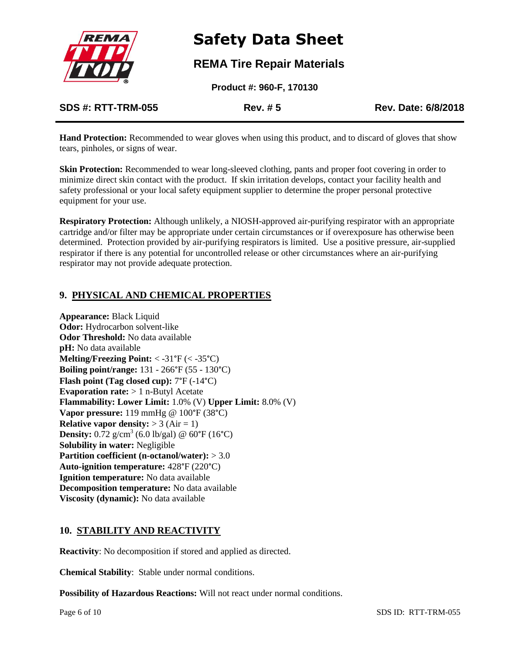

### **REMA Tire Repair Materials**

 **Product #: 960-F, 170130**

**SDS #: RTT-TRM-055 Rev. # 5 Rev. Date: 6/8/2018**

**Hand Protection:** Recommended to wear gloves when using this product, and to discard of gloves that show tears, pinholes, or signs of wear.

**Skin Protection:** Recommended to wear long-sleeved clothing, pants and proper foot covering in order to minimize direct skin contact with the product. If skin irritation develops, contact your facility health and safety professional or your local safety equipment supplier to determine the proper personal protective equipment for your use.

**Respiratory Protection:** Although unlikely, a NIOSH-approved air-purifying respirator with an appropriate cartridge and/or filter may be appropriate under certain circumstances or if overexposure has otherwise been determined. Protection provided by air-purifying respirators is limited. Use a positive pressure, air-supplied respirator if there is any potential for uncontrolled release or other circumstances where an air-purifying respirator may not provide adequate protection.

### **9. PHYSICAL AND CHEMICAL PROPERTIES**

**Appearance:** Black Liquid **Odor:** Hydrocarbon solvent-like **Odor Threshold:** No data available **pH:** No data available **Melting/Freezing Point:** < -31°F (< -35°C) **Boiling point/range:** 131 - 266°F (55 - 130°C) **Flash point (Tag closed cup):** 7°F (-14°C) **Evaporation rate:**  $> 1$  n-Butyl Acetate **Flammability: Lower Limit:** 1.0% (V) **Upper Limit:** 8.0% (V) **Vapor pressure:** 119 mmHg @ 100°F (38°C) **Relative vapor density:**  $> 3$  (Air = 1) **Density:**  $0.72 \text{ g/cm}^3$  (6.0 lb/gal) @ 60°F (16°C) **Solubility in water:** Negligible **Partition coefficient (n-octanol/water):** > 3.0 **Auto-ignition temperature:** 428°F (220°C) **Ignition temperature:** No data available **Decomposition temperature:** No data available **Viscosity (dynamic):** No data available

### **10. STABILITY AND REACTIVITY**

**Reactivity**: No decomposition if stored and applied as directed.

**Chemical Stability**: Stable under normal conditions.

**Possibility of Hazardous Reactions:** Will not react under normal conditions.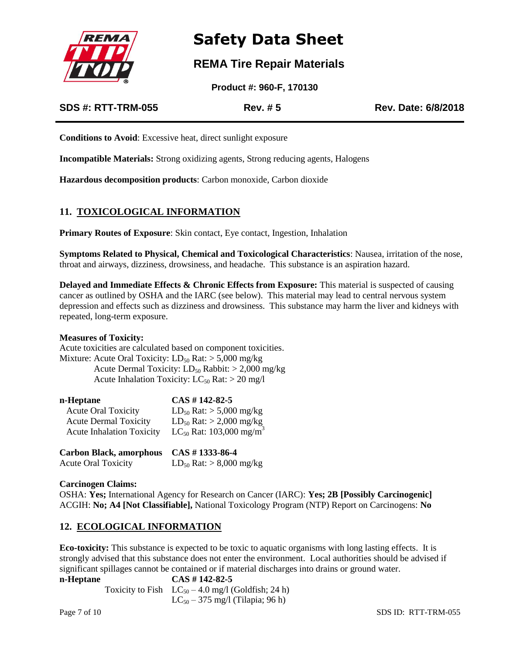

### **REMA Tire Repair Materials**

 **Product #: 960-F, 170130**

**SDS #: RTT-TRM-055 Rev. # 5 Rev. Date: 6/8/2018**

**Conditions to Avoid**: Excessive heat, direct sunlight exposure

**Incompatible Materials:** Strong oxidizing agents, Strong reducing agents, Halogens

**Hazardous decomposition products**: Carbon monoxide, Carbon dioxide

### **11. TOXICOLOGICAL INFORMATION**

**Primary Routes of Exposure:** Skin contact, Eye contact, Ingestion, Inhalation

**Symptoms Related to Physical, Chemical and Toxicological Characteristics**: Nausea, irritation of the nose, throat and airways, dizziness, drowsiness, and headache. This substance is an aspiration hazard.

**Delayed and Immediate Effects & Chronic Effects from Exposure:** This material is suspected of causing cancer as outlined by OSHA and the IARC (see below). This material may lead to central nervous system depression and effects such as dizziness and drowsiness. This substance may harm the liver and kidneys with repeated, long-term exposure.

#### **Measures of Toxicity:**

Acute toxicities are calculated based on component toxicities. Mixture: Acute Oral Toxicity:  $LD_{50}$  Rat:  $> 5,000$  mg/kg Acute Dermal Toxicity:  $LD_{50}$  Rabbit:  $> 2,000$  mg/kg Acute Inhalation Toxicity:  $LC_{50}$  Rat:  $> 20$  mg/l

| n-Heptane                        | $CAS # 142-82-5$                                |
|----------------------------------|-------------------------------------------------|
| <b>Acute Oral Toxicity</b>       | $LD_{50}$ Rat: $> 5,000$ mg/kg                  |
| <b>Acute Dermal Toxicity</b>     | $LD_{50}$ Rat: > 2,000 mg/kg                    |
| <b>Acute Inhalation Toxicity</b> | LC <sub>50</sub> Rat: 103,000 mg/m <sup>3</sup> |
|                                  |                                                 |

| Carbon Black, amorphous CAS #1333-86-4 |                              |
|----------------------------------------|------------------------------|
| <b>Acute Oral Toxicity</b>             | $LD_{50}$ Rat: > 8,000 mg/kg |

### **Carcinogen Claims:**

OSHA: **Yes;** International Agency for Research on Cancer (IARC): **Yes; 2B [Possibly Carcinogenic]** ACGIH: **No; A4 [Not Classifiable],** National Toxicology Program (NTP) Report on Carcinogens: **No**

### **12. ECOLOGICAL INFORMATION**

**Eco-toxicity:** This substance is expected to be toxic to aquatic organisms with long lasting effects. It is strongly advised that this substance does not enter the environment. Local authorities should be advised if significant spillages cannot be contained or if material discharges into drains or ground water.

| n-Heptane | $CAS \# 142-82-5$                                      |
|-----------|--------------------------------------------------------|
|           | Toxicity to Fish $LC_{50} - 4.0$ mg/l (Goldfish; 24 h) |
|           | $LC_{50} - 375$ mg/l (Tilapia; 96 h)                   |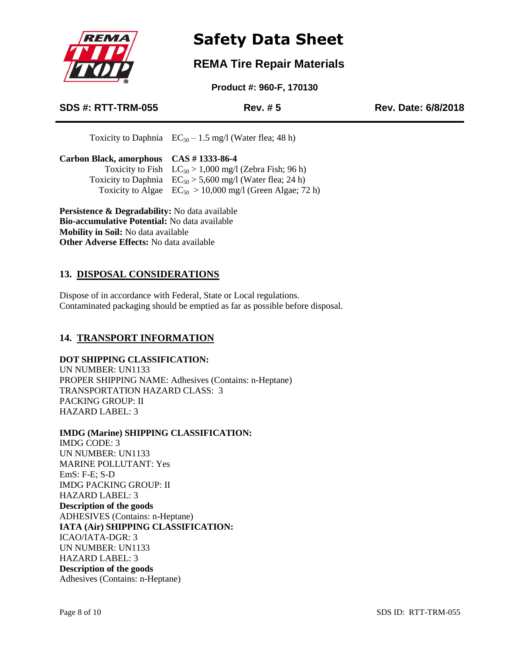

### **REMA Tire Repair Materials**

 **Product #: 960-F, 170130**

### **SDS #: RTT-TRM-055 Rev. # 5 Rev. Date: 6/8/2018**

Toxicity to Daphnia  $EC_{50} - 1.5$  mg/l (Water flea; 48 h)

| Carbon Black, amorphous CAS #1333-86-4 |                                                               |
|----------------------------------------|---------------------------------------------------------------|
|                                        | Toxicity to Fish $LC_{50} > 1,000$ mg/l (Zebra Fish; 96 h)    |
|                                        | Toxicity to Daphnia $EC_{50} > 5,600$ mg/l (Water flea; 24 h) |
|                                        | Toxicity to Algae $EC_{50} > 10,000$ mg/l (Green Algae; 72 h) |
|                                        |                                                               |

**Persistence & Degradability:** No data available **Bio-accumulative Potential:** No data available **Mobility in Soil:** No data available **Other Adverse Effects:** No data available

### **13. DISPOSAL CONSIDERATIONS**

Dispose of in accordance with Federal, State or Local regulations. Contaminated packaging should be emptied as far as possible before disposal.

### **14. TRANSPORT INFORMATION**

### **DOT SHIPPING CLASSIFICATION:**

UN NUMBER: UN1133 PROPER SHIPPING NAME: Adhesives (Contains: n-Heptane) TRANSPORTATION HAZARD CLASS: 3 PACKING GROUP: II HAZARD LABEL: 3

### **IMDG (Marine) SHIPPING CLASSIFICATION:**

IMDG CODE: 3 UN NUMBER: UN1133 MARINE POLLUTANT: Yes EmS: F-E; S-D IMDG PACKING GROUP: II HAZARD LABEL: 3 **Description of the goods** ADHESIVES (Contains: n-Heptane) **IATA (Air) SHIPPING CLASSIFICATION:** ICAO/IATA-DGR: 3 UN NUMBER: UN1133 HAZARD LABEL: 3 **Description of the goods** Adhesives (Contains: n-Heptane)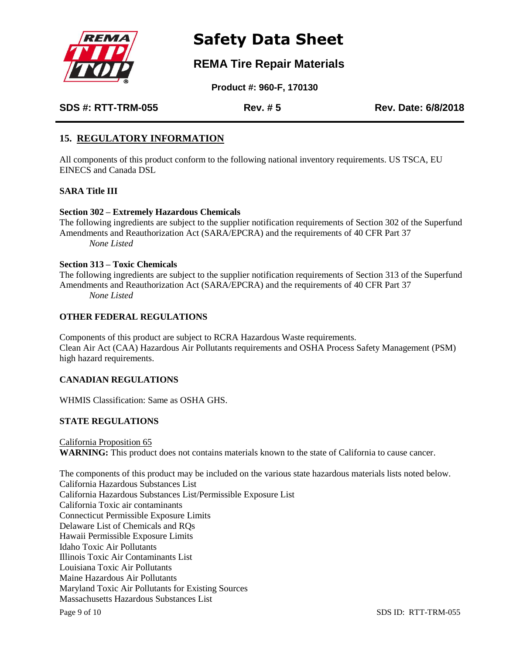

### **REMA Tire Repair Materials**

 **Product #: 960-F, 170130**

**SDS #: RTT-TRM-055 Rev. # 5 Rev. Date: 6/8/2018**

### **15. REGULATORY INFORMATION**

All components of this product conform to the following national inventory requirements. US TSCA, EU EINECS and Canada DSL

### **SARA Title III**

### **Section 302 – Extremely Hazardous Chemicals**

The following ingredients are subject to the supplier notification requirements of Section 302 of the Superfund Amendments and Reauthorization Act (SARA/EPCRA) and the requirements of 40 CFR Part 37 *None Listed*

### **Section 313 – Toxic Chemicals**

The following ingredients are subject to the supplier notification requirements of Section 313 of the Superfund Amendments and Reauthorization Act (SARA/EPCRA) and the requirements of 40 CFR Part 37 *None Listed*

### **OTHER FEDERAL REGULATIONS**

Components of this product are subject to RCRA Hazardous Waste requirements. Clean Air Act (CAA) Hazardous Air Pollutants requirements and OSHA Process Safety Management (PSM) high hazard requirements.

### **CANADIAN REGULATIONS**

WHMIS Classification: Same as OSHA GHS.

### **STATE REGULATIONS**

California Proposition 65 **WARNING:** This product does not contains materials known to the state of California to cause cancer.

Page 9 of 10 SDS ID: RTT-TRM-055 The components of this product may be included on the various state hazardous materials lists noted below. California Hazardous Substances List California Hazardous Substances List/Permissible Exposure List California Toxic air contaminants Connecticut Permissible Exposure Limits Delaware List of Chemicals and RQs Hawaii Permissible Exposure Limits Idaho Toxic Air Pollutants Illinois Toxic Air Contaminants List Louisiana Toxic Air Pollutants Maine Hazardous Air Pollutants Maryland Toxic Air Pollutants for Existing Sources Massachusetts Hazardous Substances List